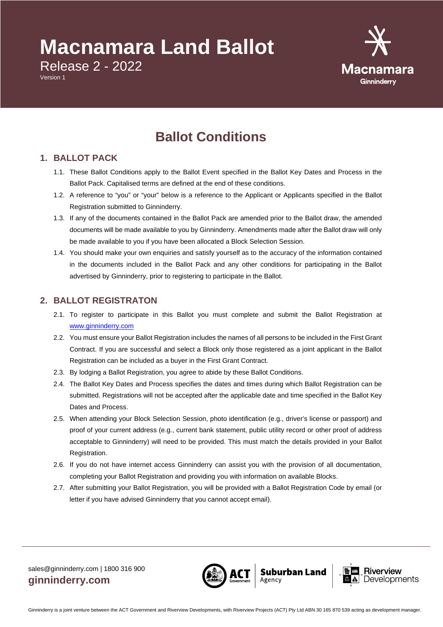# **Macnamara Land Ballot**

Release 2 - 2022

Version 1



# **Ballot Conditions**

### **1. BALLOT PACK**

- 1.1. These Ballot Conditions apply to the Ballot Event specified in the Ballot Key Dates and Process in the Ballot Pack. Capitalised terms are defined at the end of these conditions.
- 1.2. A reference to "you" or "your" below is a reference to the Applicant or Applicants specified in the Ballot Registration submitted to Ginninderry.
- 1.3. If any of the documents contained in the Ballot Pack are amended prior to the Ballot draw, the amended documents will be made available to you by Ginninderry. Amendments made after the Ballot draw will only be made available to you if you have been allocated a Block Selection Session.
- 1.4. You should make your own enquiries and satisfy yourself as to the accuracy of the information contained in the documents included in the Ballot Pack and any other conditions for participating in the Ballot advertised by Ginninderry, prior to registering to participate in the Ballot.

# **2. BALLOT REGISTRATON**

- 2.1. To register to participate in this Ballot you must complete and submit the Ballot Registration at [www.ginninderry.com](https://ginninderry.runway.com.au/ballotregistrationform)
- 2.2. You must ensure your Ballot Registration includes the names of all persons to be included in the First Grant Contract. If you are successful and select a Block only those registered as a joint applicant in the Ballot Registration can be included as a buyer in the First Grant Contract.
- 2.3. By lodging a Ballot Registration, you agree to abide by these Ballot Conditions.
- 2.4. The Ballot Key Dates and Process specifies the dates and times during which Ballot Registration can be submitted. Registrations will not be accepted after the applicable date and time specified in the Ballot Key Dates and Process.
- 2.5. When attending your Block Selection Session, photo identification (e.g., driver's license or passport) and proof of your current address (e.g., current bank statement, public utility record or other proof of address acceptable to Ginninderry) will need to be provided. This must match the details provided in your Ballot Registration.
- 2.6. If you do not have internet access Ginninderry can assist you with the provision of all documentation, completing your Ballot Registration and providing you with information on available Blocks.
- 2.7. After submitting your Ballot Registration, you will be provided with a Ballot Registration Code by email (or letter if you have advised Ginninderry that you cannot accept email).



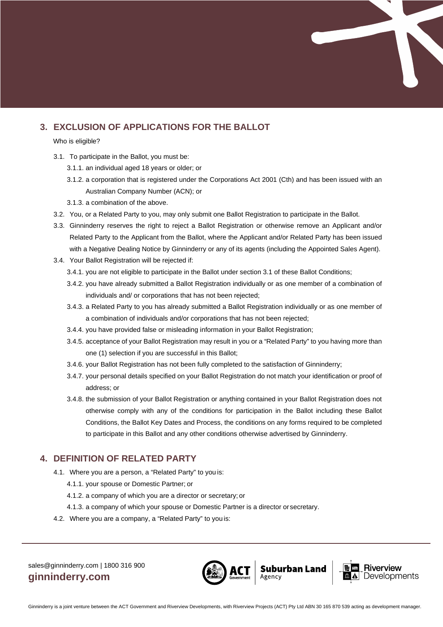# **3. EXCLUSION OF APPLICATIONS FOR THE BALLOT**

Who is eligible?

- 3.1. To participate in the Ballot, you must be:
	- 3.1.1. an individual aged 18 years or older; or
	- 3.1.2. a corporation that is registered under the Corporations Act 2001 (Cth) and has been issued with an Australian Company Number (ACN); or
	- 3.1.3. a combination of the above.
- 3.2. You, or a Related Party to you, may only submit one Ballot Registration to participate in the Ballot.
- 3.3. Ginninderry reserves the right to reject a Ballot Registration or otherwise remove an Applicant and/or Related Party to the Applicant from the Ballot, where the Applicant and/or Related Party has been issued with a Negative Dealing Notice by Ginninderry or any of its agents (including the Appointed Sales Agent).
- 3.4. Your Ballot Registration will be rejected if:
	- 3.4.1. you are not eligible to participate in the Ballot under section 3.1 of these Ballot Conditions;
	- 3.4.2. you have already submitted a Ballot Registration individually or as one member of a combination of individuals and/ or corporations that has not been rejected;
	- 3.4.3. a Related Party to you has already submitted a Ballot Registration individually or as one member of a combination of individuals and/or corporations that has not been rejected;
	- 3.4.4. you have provided false or misleading information in your Ballot Registration;
	- 3.4.5. acceptance of your Ballot Registration may result in you or a "Related Party" to you having more than one (1) selection if you are successful in this Ballot;
	- 3.4.6. your Ballot Registration has not been fully completed to the satisfaction of Ginninderry;
	- 3.4.7. your personal details specified on your Ballot Registration do not match your identification or proof of address; or
	- 3.4.8. the submission of your Ballot Registration or anything contained in your Ballot Registration does not otherwise comply with any of the conditions for participation in the Ballot including these Ballot Conditions, the Ballot Key Dates and Process, the conditions on any forms required to be completed to participate in this Ballot and any other conditions otherwise advertised by Ginninderry.

#### **4. DEFINITION OF RELATED PARTY**

- 4.1. Where you are a person, a "Related Party" to you is:
	- 4.1.1. your spouse or Domestic Partner; or
	- 4.1.2. a company of which you are a director or secretary; or
	- 4.1.3. a company of which your spouse or Domestic Partner is a director orsecretary.
- 4.2. Where you are a company, a "Related Party" to you is:



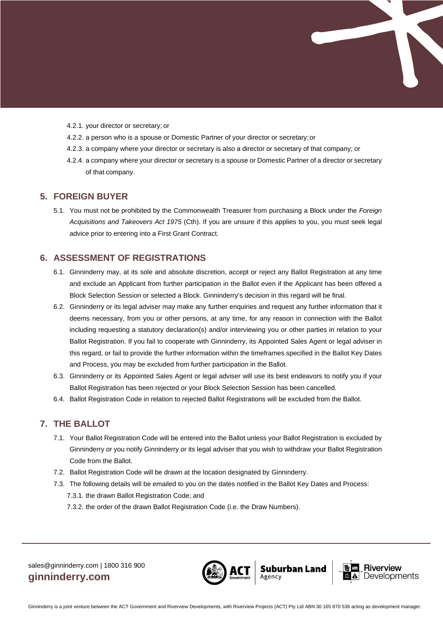

- 4.2.1. your director or secretary; or
- 4.2.2. a person who is a spouse or Domestic Partner of your director or secretary;or
- 4.2.3. a company where your director or secretary is also a director or secretary of that company; or
- 4.2.4. a company where your director or secretary is a spouse or Domestic Partner of a director or secretary of that company.

#### **5. FOREIGN BUYER**

5.1. You must not be prohibited by the Commonwealth Treasurer from purchasing a Block under the *Foreign Acquisitions and Takeovers Act 1975* (Cth). If you are unsure if this applies to you, you must seek legal advice prior to entering into a First Grant Contract.

#### **6. ASSESSMENT OF REGISTRATIONS**

- 6.1. Ginninderry may, at its sole and absolute discretion, accept or reject any Ballot Registration at any time and exclude an Applicant from further participation in the Ballot even if the Applicant has been offered a Block Selection Session or selected a Block. Ginninderry's decision in this regard will be final.
- 6.2. Ginninderry or its legal adviser may make any further enquiries and request any further information that it deems necessary, from you or other persons, at any time, for any reason in connection with the Ballot including requesting a statutory declaration(s) and/or interviewing you or other parties in relation to your Ballot Registration. If you fail to cooperate with Ginninderry, its Appointed Sales Agent or legal adviser in this regard, or fail to provide the further information within the timeframes specified in the Ballot Key Dates and Process, you may be excluded from further participation in the Ballot.
- 6.3. Ginninderry or its Appointed Sales Agent or legal adviser will use its best endeavors to notify you if your Ballot Registration has been rejected or your Block Selection Session has been cancelled.
- 6.4. Ballot Registration Code in relation to rejected Ballot Registrations will be excluded from the Ballot.

#### **7. THE BALLOT**

- 7.1. Your Ballot Registration Code will be entered into the Ballot unless your Ballot Registration is excluded by Ginninderry or you notify Ginninderry or its legal adviser that you wish to withdraw your Ballot Registration Code from the Ballot.
- 7.2. Ballot Registration Code will be drawn at the location designated by Ginninderry.
- 7.3. The following details will be emailed to you on the dates notified in the Ballot Key Dates and Process:
	- 7.3.1. the drawn Ballot Registration Code; and
	- 7.3.2. the order of the drawn Ballot Registration Code (i.e. the Draw Numbers).



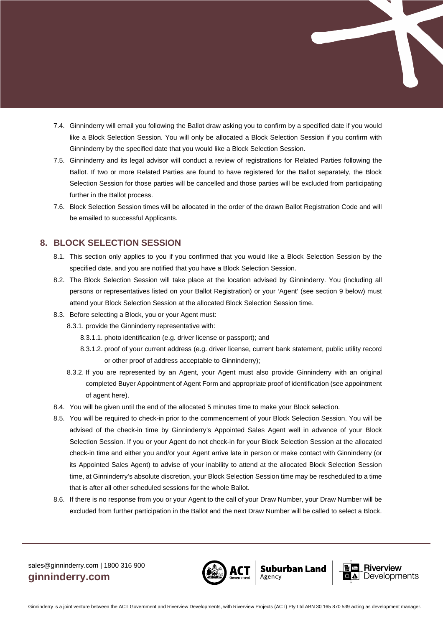- 7.4. Ginninderry will email you following the Ballot draw asking you to confirm by a specified date if you would like a Block Selection Session. You will only be allocated a Block Selection Session if you confirm with Ginninderry by the specified date that you would like a Block Selection Session.
- 7.5. Ginninderry and its legal advisor will conduct a review of registrations for Related Parties following the Ballot. If two or more Related Parties are found to have registered for the Ballot separately, the Block Selection Session for those parties will be cancelled and those parties will be excluded from participating further in the Ballot process.
- 7.6. Block Selection Session times will be allocated in the order of the drawn Ballot Registration Code and will be emailed to successful Applicants.

#### **8. BLOCK SELECTION SESSION**

- 8.1. This section only applies to you if you confirmed that you would like a Block Selection Session by the specified date, and you are notified that you have a Block Selection Session.
- 8.2. The Block Selection Session will take place at the location advised by Ginninderry. You (including all persons or representatives listed on your Ballot Registration) or your 'Agent' (see section 9 below) must attend your Block Selection Session at the allocated Block Selection Session time.
- 8.3. Before selecting a Block, you or your Agent must:
	- 8.3.1. provide the Ginninderry representative with:
		- 8.3.1.1. photo identification (e.g. driver license or passport); and
		- 8.3.1.2. proof of your current address (e.g. driver license, current bank statement, public utility record or other proof of address acceptable to Ginninderry);
	- 8.3.2. If you are represented by an Agent, your Agent must also provide Ginninderry with an original completed Buyer Appointment of Agent Form and appropriate proof of identification (see appointment of agent here).
- 8.4. You will be given until the end of the allocated 5 minutes time to make your Block selection.
- 8.5. You will be required to check-in prior to the commencement of your Block Selection Session. You will be advised of the check-in time by Ginninderry's Appointed Sales Agent well in advance of your Block Selection Session. If you or your Agent do not check-in for your Block Selection Session at the allocated check-in time and either you and/or your Agent arrive late in person or make contact with Ginninderry (or its Appointed Sales Agent) to advise of your inability to attend at the allocated Block Selection Session time, at Ginninderry's absolute discretion, your Block Selection Session time may be rescheduled to a time that is after all other scheduled sessions for the whole Ballot.
- 8.6. If there is no response from you or your Agent to the call of your Draw Number, your Draw Number will be excluded from further participation in the Ballot and the next Draw Number will be called to select a Block.



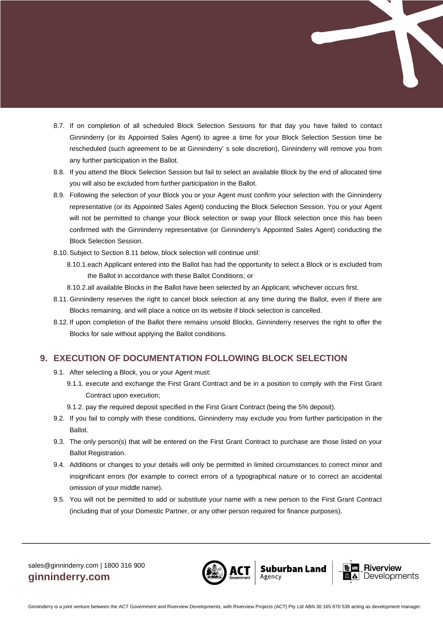- 8.7. If on completion of all scheduled Block Selection Sessions for that day you have failed to contact Ginninderry (or its Appointed Sales Agent) to agree a time for your Block Selection Session time be rescheduled (such agreement to be at Ginninderry' s sole discretion), Ginninderry will remove you from any further participation in the Ballot.
- 8.8. If you attend the Block Selection Session but fail to select an available Block by the end of allocated time you will also be excluded from further participation in the Ballot.
- 8.9. Following the selection of your Block you or your Agent must confirm your selection with the Ginninderry representative (or its Appointed Sales Agent) conducting the Block Selection Session. You or your Agent will not be permitted to change your Block selection or swap your Block selection once this has been confirmed with the Ginninderry representative (or Ginninderry's Appointed Sales Agent) conducting the Block Selection Session.
- 8.10.Subject to Section 8.11 below, block selection will continue until:
	- 8.10.1.each Applicant entered into the Ballot has had the opportunity to select a Block or is excluded from the Ballot in accordance with these Ballot Conditions; or
	- 8.10.2.all available Blocks in the Ballot have been selected by an Applicant, whichever occurs first.
- 8.11. Ginninderry reserves the right to cancel block selection at any time during the Ballot, even if there are Blocks remaining, and will place a notice on its website if block selection is cancelled.
- 8.12. If upon completion of the Ballot there remains unsold Blocks, Ginninderry reserves the right to offer the Blocks for sale without applying the Ballot conditions.

#### **9. EXECUTION OF DOCUMENTATION FOLLOWING BLOCK SELECTION**

- 9.1. After selecting a Block, you or your Agent must:
	- 9.1.1. execute and exchange the First Grant Contract and be in a position to comply with the First Grant Contract upon execution;
	- 9.1.2. pay the required deposit specified in the First Grant Contract (being the 5% deposit).
- 9.2. If you fail to comply with these conditions, Ginninderry may exclude you from further participation in the Ballot.
- 9.3. The only person(s) that will be entered on the First Grant Contract to purchase are those listed on your Ballot Registration.
- 9.4. Additions or changes to your details will only be permitted in limited circumstances to correct minor and insignificant errors (for example to correct errors of a typographical nature or to correct an accidental omission of your middle name).
- 9.5. You will not be permitted to add or substitute your name with a new person to the First Grant Contract (including that of your Domestic Partner, or any other person required for finance purposes).



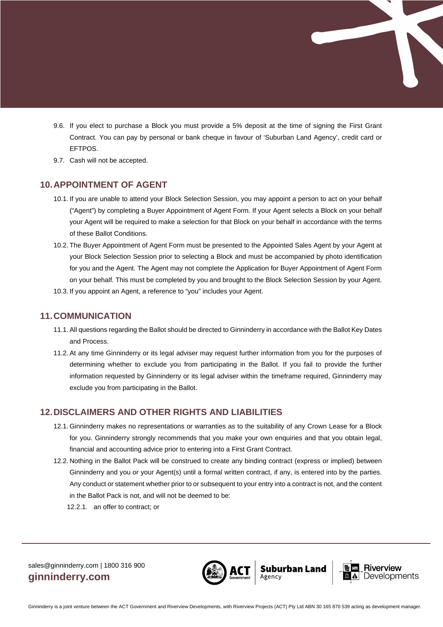- 9.6. If you elect to purchase a Block you must provide a 5% deposit at the time of signing the First Grant Contract. You can pay by personal or bank cheque in favour of 'Suburban Land Agency', credit card or EFTPOS.
- 9.7. Cash will not be accepted.

#### **10.APPOINTMENT OF AGENT**

- 10.1. If you are unable to attend your Block Selection Session, you may appoint a person to act on your behalf ("Agent") by completing a Buyer Appointment of Agent Form. If your Agent selects a Block on your behalf your Agent will be required to make a selection for that Block on your behalf in accordance with the terms of these Ballot Conditions.
- 10.2. The Buyer Appointment of Agent Form must be presented to the Appointed Sales Agent by your Agent at your Block Selection Session prior to selecting a Block and must be accompanied by photo identification for you and the Agent. The Agent may not complete the Application for Buyer Appointment of Agent Form on your behalf. This must be completed by you and brought to the Block Selection Session by your Agent. 10.3. If you appoint an Agent, a reference to "you" includes your Agent.

#### **11.COMMUNICATION**

- 11.1.All questions regarding the Ballot should be directed to Ginninderry in accordance with the Ballot Key Dates and Process.
- 11.2.At any time Ginninderry or its legal adviser may request further information from you for the purposes of determining whether to exclude you from participating in the Ballot. If you fail to provide the further information requested by Ginninderry or its legal adviser within the timeframe required, Ginninderry may exclude you from participating in the Ballot.

#### **12.DISCLAIMERS AND OTHER RIGHTS AND LIABILITIES**

- 12.1. Ginninderry makes no representations or warranties as to the suitability of any Crown Lease for a Block for you. Ginninderry strongly recommends that you make your own enquiries and that you obtain legal, financial and accounting advice prior to entering into a First Grant Contract.
- 12.2. Nothing in the Ballot Pack will be construed to create any binding contract (express or implied) between Ginninderry and you or your Agent(s) until a formal written contract, if any, is entered into by the parties. Any conduct or statement whether prior to or subsequent to your entry into a contract is not, and the content in the Ballot Pack is not, and will not be deemed to be:
	- 12.2.1. an offer to contract; or



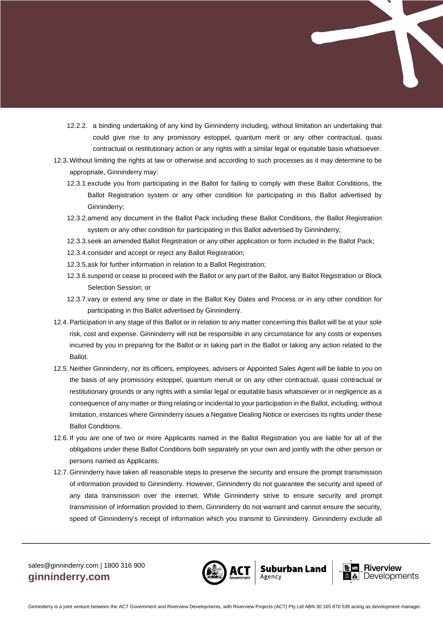- 12.2.2. a binding undertaking of any kind by Ginninderry including, without limitation an undertaking that could give rise to any promissory estoppel, quantum merit or any other contractual, quasi contractual or restitutionary action or any rights with a similar legal or equitable basis whatsoever.
- 12.3. Without limiting the rights at law or otherwise and according to such processes as it may determine to be appropriate, Ginninderry may:
	- 12.3.1.exclude you from participating in the Ballot for failing to comply with these Ballot Conditions, the Ballot Registration system or any other condition for participating in this Ballot advertised by Ginninderry;
	- 12.3.2.amend any document in the Ballot Pack including these Ballot Conditions, the Ballot Registration system or any other condition for participating in this Ballot advertised by Ginninderry;
	- 12.3.3.seek an amended Ballot Registration or any other application or form included in the Ballot Pack;
	- 12.3.4.consider and accept or reject any Ballot Registration;
	- 12.3.5.ask for further information in relation to a Ballot Registration;
	- 12.3.6.suspend or cease to proceed with the Ballot or any part of the Ballot, any Ballot Registration or Block Selection Session; or
	- 12.3.7.vary or extend any time or date in the Ballot Key Dates and Process or in any other condition for participating in this Ballot advertised by Ginninderry.
- 12.4.Participation in any stage of this Ballot or in relation to any matter concerning this Ballot will be at your sole risk, cost and expense. Ginninderry will not be responsible in any circumstance for any costs or expenses incurred by you in preparing for the Ballot or in taking part in the Ballot or taking any action related to the Ballot.
- 12.5. Neither Ginninderry, nor its officers, employees, advisers or Appointed Sales Agent will be liable to you on the basis of any promissory estoppel, quantum meruit or on any other contractual, quasi contractual or restitutionary grounds or any rights with a similar legal or equitable basis whatsoever or in negligence as a consequence of any matter or thing relating or incidental to your participation in the Ballot, including, without limitation, instances where Ginninderry issues a Negative Dealing Notice or exercises its rights under these Ballot Conditions.
- 12.6. If you are one of two or more Applicants named in the Ballot Registration you are liable for all of the obligations under these Ballot Conditions both separately on your own and jointly with the other person or persons named as Applicants.
- 12.7. Ginninderry have taken all reasonable steps to preserve the security and ensure the prompt transmission of information provided to Ginninderry. However, Ginninderry do not guarantee the security and speed of any data transmission over the internet. While Ginninderry strive to ensure security and prompt transmission of information provided to them, Ginninderry do not warrant and cannot ensure the security, speed of Ginninderry's receipt of information which you transmit to Ginninderry. Ginninderry exclude all



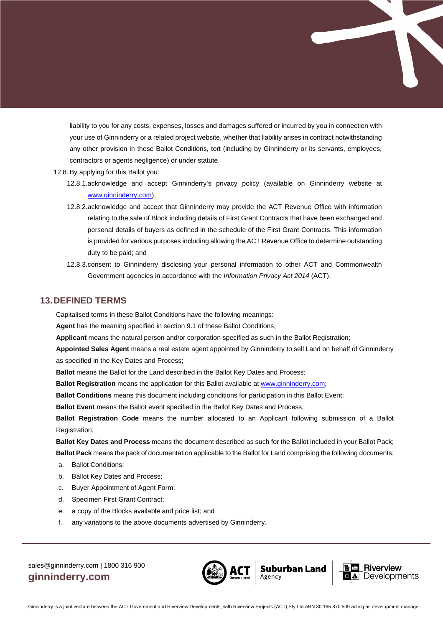liability to you for any costs, expenses, losses and damages suffered or incurred by you in connection with your use of Ginninderry or a related project website, whether that liability arises in contract notwithstanding any other provision in these Ballot Conditions, tort (including by Ginninderry or its servants, employees, contractors or agents negligence) or under statute.

- 12.8.By applying for this Ballot you:
	- 12.8.1.acknowledge and accept Ginninderry's privacy policy (available on Ginninderry website at [www.ginninderry.com\)](http://www.ginninderry.com/);
	- 12.8.2.acknowledge and accept that Ginninderry may provide the ACT Revenue Office with information relating to the sale of Block including details of First Grant Contracts that have been exchanged and personal details of buyers as defined in the schedule of the First Grant Contracts. This information is provided for various purposes including allowing the ACT Revenue Office to determine outstanding duty to be paid; and
	- 12.8.3.consent to Ginninderry disclosing your personal information to other ACT and Commonwealth Government agencies in accordance with the *Information Privacy Act 2014* (ACT).

#### **13.DEFINED TERMS**

Capitalised terms in these Ballot Conditions have the following meanings:

**Agent** has the meaning specified in section 9.1 of these Ballot Conditions;

**Applicant** means the natural person and/or corporation specified as such in the Ballot Registration;

**Appointed Sales Agent** means a real estate agent appointed by Ginninderry to sell Land on behalf of Ginninderry as specified in the Key Dates and Process;

**Ballot** means the Ballot for the Land described in the Ballot Key Dates and Process;

**Ballot Registration** means the application for this Ballot available at www.ginninderry.com;

**Ballot Conditions** means this document including conditions for participation in this Ballot Event;

**Ballot Event** means the Ballot event specified in the Ballot Key Dates and Process;

**Ballot Registration Code** means the number allocated to an Applicant following submission of a Ballot Registration;

**Ballot Key Dates and Process** means the document described as such for the Ballot included in your Ballot Pack; **Ballot Pack** means the pack of documentation applicable to the Ballot for Land comprising the following documents:

- a. Ballot Conditions;
- b. Ballot Key Dates and Process;
- c. Buyer Appointment of Agent Form;
- d. Specimen First Grant Contract;
- e. a copy of the Blocks available and price list; and
- f. any variations to the above documents advertised by Ginninderry.